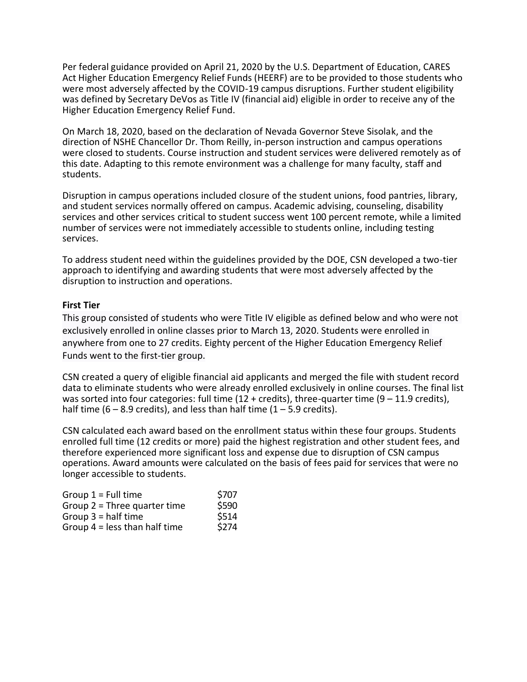Per federal guidance provided on April 21, 2020 by the U.S. Department of Education, CARES Act Higher Education Emergency Relief Funds (HEERF) are to be provided to those students who were most adversely affected by the COVID-19 campus disruptions. Further student eligibility was defined by Secretary DeVos as Title IV (financial aid) eligible in order to receive any of the Higher Education Emergency Relief Fund.

On March 18, 2020, based on the declaration of Nevada Governor Steve Sisolak, and the direction of NSHE Chancellor Dr. Thom Reilly, in-person instruction and campus operations were closed to students. Course instruction and student services were delivered remotely as of this date. Adapting to this remote environment was a challenge for many faculty, staff and students.

Disruption in campus operations included closure of the student unions, food pantries, library, and student services normally offered on campus. Academic advising, counseling, disability services and other services critical to student success went 100 percent remote, while a limited number of services were not immediately accessible to students online, including testing services.

To address student need within the guidelines provided by the DOE, CSN developed a two-tier approach to identifying and awarding students that were most adversely affected by the disruption to instruction and operations.

## **First Tier**

This group consisted of students who were Title IV eligible as defined below and who were not exclusively enrolled in online classes prior to March 13, 2020. Students were enrolled in anywhere from one to 27 credits. Eighty percent of the Higher Education Emergency Relief Funds went to the first-tier group.

CSN created a query of eligible financial aid applicants and merged the file with student record data to eliminate students who were already enrolled exclusively in online courses. The final list was sorted into four categories: full time  $(12 + \text{credits})$ , three-quarter time  $(9 - 11.9 \text{ credits})$ , half time (6 – 8.9 credits), and less than half time (1 – 5.9 credits).

CSN calculated each award based on the enrollment status within these four groups. Students enrolled full time (12 credits or more) paid the highest registration and other student fees, and therefore experienced more significant loss and expense due to disruption of CSN campus operations. Award amounts were calculated on the basis of fees paid for services that were no longer accessible to students.

| Group $1 =$ Full time           | \$707 |
|---------------------------------|-------|
| Group $2$ = Three quarter time  | \$590 |
| Group $3 =$ half time           | \$514 |
| Group $4 =$ less than half time | \$274 |